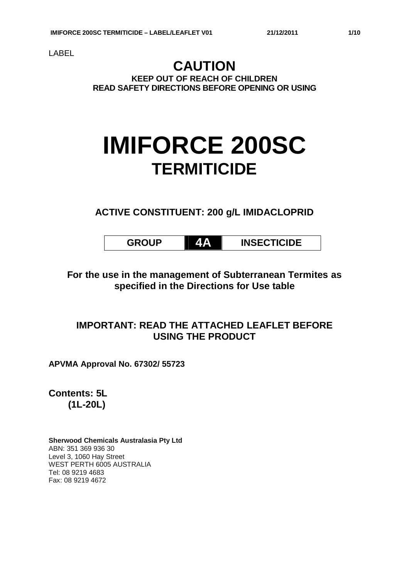LABEL

## **CAUTION KEEP OUT OF REACH OF CHILDREN READ SAFETY DIRECTIONS BEFORE OPENING OR USING**

## **IMIFORCE 200SC TERMITICIDE**

**ACTIVE CONSTITUENT: 200 g/L IMIDACLOPRID**

| <b>INSECTICIDE</b> |
|--------------------|
|                    |

**For the use in the management of Subterranean Termites as specified in the Directions for Use table**

## **IMPORTANT: READ THE ATTACHED LEAFLET BEFORE USING THE PRODUCT**

**APVMA Approval No. 67302/ 55723**

**Contents: 5L (1L-20L)**

**Sherwood Chemicals Australasia Pty Ltd** ABN: 351 369 936 30 Level 3, 1060 Hay Street WEST PERTH 6005 AUSTRALIA Tel: 08 9219 4683 Fax: 08 9219 4672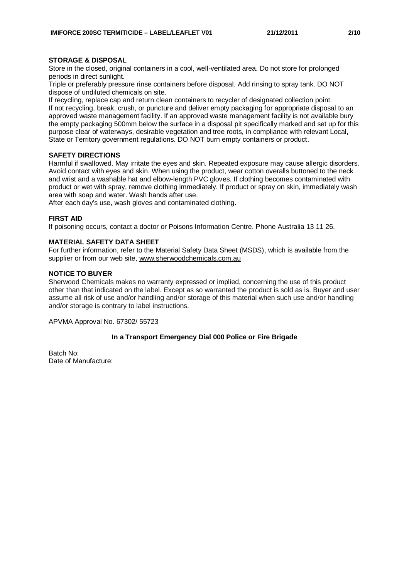#### **STORAGE & DISPOSAL**

Store in the closed, original containers in a cool, well-ventilated area. Do not store for prolonged periods in direct sunlight.

Triple or preferably pressure rinse containers before disposal. Add rinsing to spray tank. DO NOT dispose of undiluted chemicals on site.

If recycling, replace cap and return clean containers to recycler of designated collection point. If not recycling, break, crush, or puncture and deliver empty packaging for appropriate disposal to an approved waste management facility. If an approved waste management facility is not available bury the empty packaging 500mm below the surface in a disposal pit specifically marked and set up for this purpose clear of waterways, desirable vegetation and tree roots, in compliance with relevant Local, State or Territory government regulations. DO NOT burn empty containers or product.

#### **SAFETY DIRECTIONS**

Harmful if swallowed. May irritate the eyes and skin. Repeated exposure may cause allergic disorders. Avoid contact with eyes and skin. When using the product, wear cotton overalls buttoned to the neck and wrist and a washable hat and elbow-length PVC gloves. If clothing becomes contaminated with product or wet with spray, remove clothing immediately. If product or spray on skin, immediately wash area with soap and water. Wash hands after use.

After each day's use, wash gloves and contaminated clothing**.**

#### **FIRST AID**

If poisoning occurs, contact a doctor or Poisons Information Centre. Phone Australia 13 11 26.

#### **MATERIAL SAFETY DATA SHEET**

For further information, refer to the Material Safety Data Sheet (MSDS), which is available from the supplier or from our web site, www.sherwoodchemicals.com.au

#### **NOTICE TO BUYER**

Sherwood Chemicals makes no warranty expressed or implied, concerning the use of this product other than that indicated on the label. Except as so warranted the product is sold as is. Buyer and user assume all risk of use and/or handling and/or storage of this material when such use and/or handling and/or storage is contrary to label instructions.

APVMA Approval No. 67302/ 55723

#### **In a Transport Emergency Dial 000 Police or Fire Brigade**

Batch No: Date of Manufacture: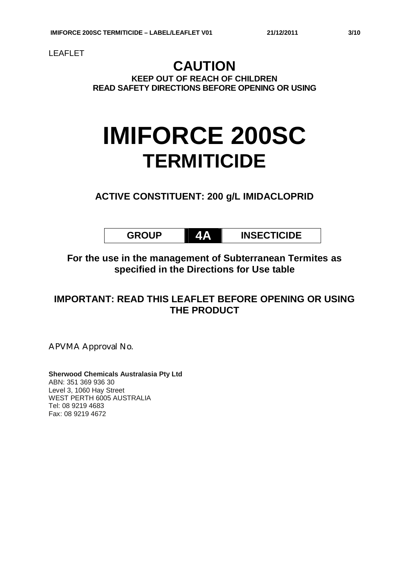LEAFLET

## **CAUTION KEEP OUT OF REACH OF CHILDREN READ SAFETY DIRECTIONS BEFORE OPENING OR USING**

# **IMIFORCE 200SC TERMITICIDE**

**ACTIVE CONSTITUENT: 200 g/L IMIDACLOPRID**

**GROUP 4A INSECTICIDE**

**For the use in the management of Subterranean Termites as specified in the Directions for Use table**

## **IMPORTANT: READ THIS LEAFLET BEFORE OPENING OR USING THE PRODUCT**

APVMA Approval No.

**Sherwood Chemicals Australasia Pty Ltd** ABN: 351 369 936 30 Level 3, 1060 Hay Street WEST PERTH 6005 AUSTRALIA Tel: 08 9219 4683 Fax: 08 9219 4672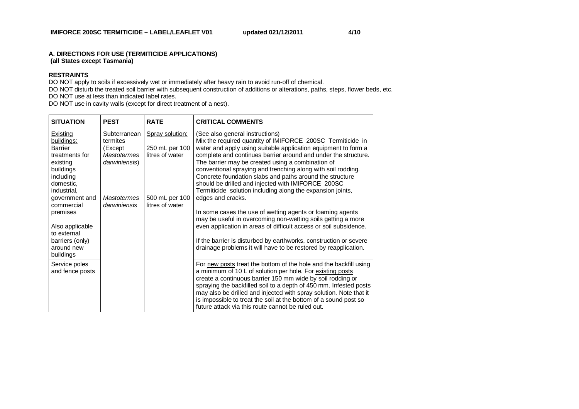#### **A. DIRECTIONS FOR USE (TERMITICIDE APPLICATIONS) (all States except Tasmania)**

#### **RESTRAINTS**

DO NOT apply to soils if excessively wet or immediately after heavy rain to avoid run-off of chemical.

DO NOT disturb the treated soil barrier with subsequent construction of additions or alterations, paths, steps, flower beds, etc.

DO NOT use at less than indicated label rates.

DO NOT use in cavity walls (except for direct treatment of a nest).

| <b>SITUATION</b>                                                                                                                                                                                                                                         | <b>PEST</b>                                                                                                      | <b>RATE</b>                                                                                      | <b>CRITICAL COMMENTS</b>                                                                                                                                                                                                                                                                                                                                                                                                                                                                                                                                                                                                                                                                                                                                                                                                                                                                              |
|----------------------------------------------------------------------------------------------------------------------------------------------------------------------------------------------------------------------------------------------------------|------------------------------------------------------------------------------------------------------------------|--------------------------------------------------------------------------------------------------|-------------------------------------------------------------------------------------------------------------------------------------------------------------------------------------------------------------------------------------------------------------------------------------------------------------------------------------------------------------------------------------------------------------------------------------------------------------------------------------------------------------------------------------------------------------------------------------------------------------------------------------------------------------------------------------------------------------------------------------------------------------------------------------------------------------------------------------------------------------------------------------------------------|
| Existing<br>buildings:<br><b>Barrier</b><br>treatments for<br>existing<br>buildings<br>including<br>domestic,<br>industrial,<br>government and<br>commercial<br>premises<br>Also applicable<br>to external<br>barriers (only)<br>around new<br>buildings | Subterranean<br>termites<br>(Except<br><b>Mastotermes</b><br>darwiniensis)<br><b>Mastotermes</b><br>darwiniensis | <b>Spray solution:</b><br>250 mL per 100<br>litres of water<br>500 mL per 100<br>litres of water | (See also general instructions)<br>Mix the required quantity of IMIFORCE 200SC Termiticide in<br>water and apply using suitable application equipment to form a<br>complete and continues barrier around and under the structure.<br>The barrier may be created using a combination of<br>conventional spraying and trenching along with soil rodding.<br>Concrete foundation slabs and paths around the structure<br>should be drilled and injected with IMIFORCE 200SC<br>Termiticide solution including along the expansion joints,<br>edges and cracks.<br>In some cases the use of wetting agents or foaming agents<br>may be useful in overcoming non-wetting soils getting a more<br>even application in areas of difficult access or soil subsidence.<br>If the barrier is disturbed by earthworks, construction or severe<br>drainage problems it will have to be restored by reapplication. |
| Service poles<br>and fence posts                                                                                                                                                                                                                         |                                                                                                                  |                                                                                                  | For new posts treat the bottom of the hole and the backfill using<br>a minimum of 10 L of solution per hole. For existing posts<br>create a continuous barrier 150 mm wide by soil rodding or<br>spraying the backfilled soil to a depth of 450 mm. Infested posts<br>may also be drilled and injected with spray solution. Note that it<br>is impossible to treat the soil at the bottom of a sound post so<br>future attack via this route cannot be ruled out.                                                                                                                                                                                                                                                                                                                                                                                                                                     |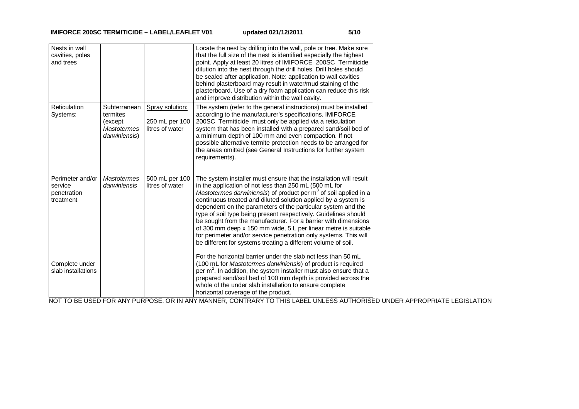| Nests in wall<br>cavities, poles<br>and trees           |                                                                             |                                                      | Locate the nest by drilling into the wall, pole or tree. Make sure<br>that the full size of the nest is identified especially the highest<br>point. Apply at least 20 litres of IMIFORCE 200SC Termiticide<br>dilution into the nest through the drill holes. Drill holes should<br>be sealed after application. Note: application to wall cavities<br>behind plasterboard may result in water/mud staining of the<br>plasterboard. Use of a dry foam application can reduce this risk<br>and improve distribution within the wall cavity.                                                                                                                                                 |
|---------------------------------------------------------|-----------------------------------------------------------------------------|------------------------------------------------------|--------------------------------------------------------------------------------------------------------------------------------------------------------------------------------------------------------------------------------------------------------------------------------------------------------------------------------------------------------------------------------------------------------------------------------------------------------------------------------------------------------------------------------------------------------------------------------------------------------------------------------------------------------------------------------------------|
| Reticulation<br>Systems:                                | Subterranean<br>termites<br>(except)<br><b>Mastotermes</b><br>darwiniensis) | Spray solution:<br>250 mL per 100<br>litres of water | The system (refer to the general instructions) must be installed<br>according to the manufacturer's specifications. IMIFORCE<br>200SC Termiticide must only be applied via a reticulation<br>system that has been installed with a prepared sand/soil bed of<br>a minimum depth of 100 mm and even compaction. If not<br>possible alternative termite protection needs to be arranged for<br>the areas omitted (see General Instructions for further system<br>requirements).                                                                                                                                                                                                              |
| Perimeter and/or<br>service<br>penetration<br>treatment | <b>Mastotermes</b><br>darwiniensis                                          | 500 mL per 100<br>litres of water                    | The system installer must ensure that the installation will result<br>in the application of not less than 250 mL (500 mL for<br>Mastotermes darwiniensis) of product per m <sup>3</sup> of soil applied in a<br>continuous treated and diluted solution applied by a system is<br>dependent on the parameters of the particular system and the<br>type of soil type being present respectively. Guidelines should<br>be sought from the manufacturer. For a barrier with dimensions<br>of 300 mm deep x 150 mm wide, 5 L per linear metre is suitable<br>for perimeter and/or service penetration only systems. This will<br>be different for systems treating a different volume of soil. |
| Complete under<br>slab installations                    |                                                                             |                                                      | For the horizontal barrier under the slab not less than 50 mL<br>(100 mL for Mastotermes darwiniensis) of product is required<br>per $m2$ . In addition, the system installer must also ensure that a<br>prepared sand/soil bed of 100 mm depth is provided across the<br>whole of the under slab installation to ensure complete<br>horizontal coverage of the product.                                                                                                                                                                                                                                                                                                                   |

NOT TO BE USED FOR ANY PURPOSE, OR IN ANY MANNER, CONTRARY TO THIS LABEL UNLESS AUTHORISED UNDER APPROPRIATE LEGISLATION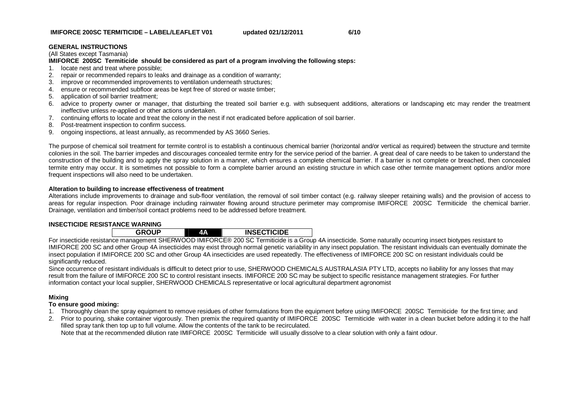#### **GENERAL INSTRUCTIONS**

(All States except Tasmania)

#### **IMIFORCE 200SC Termiticide should be considered as part of a program involving the following steps:**

- 1. locate nest and treat where possible;
- 2. repair or recommended repairs to leaks and drainage as a condition of warranty;
- 3. improve or recommended improvements to ventilation underneath structures;
- 4. ensure or recommended subfloor areas be kept free of stored or waste timber;
- 5. application of soil barrier treatment;
- 6. advice to property owner or manager, that disturbing the treated soil barrier e.g. with subsequent additions, alterations or landscaping etc may render the treatment ineffective unless re-applied or other actions undertaken.
- 7. continuing efforts to locate and treat the colony in the nest if not eradicated before application of soil barrier.
- 8. Post-treatment inspection to confirm success.
- 9. ongoing inspections, at least annually, as recommended by AS 3660 Series.

The purpose of chemical soil treatment for termite control is to establish a continuous chemical barrier (horizontal and/or vertical as required) between the structure and termite colonies in the soil. The barrier impedes and discourages concealed termite entry for the service period of the barrier. A great deal of care needs to be taken to understand the construction of the building and to apply the spray solution in a manner, which ensures a complete chemical barrier. If a barrier is not complete or breached, then concealed termite entry may occur. It is sometimes not possible to form a complete barrier around an existing structure in which case other termite management options and/or more frequent inspections will also need to be undertaken.

#### **Alteration to building to increase effectiveness of treatment**

Alterations include improvements to drainage and sub-floor ventilation, the removal of soil timber contact (e.g. railway sleeper retaining walls) and the provision of access to areas for regular inspection. Poor drainage including rainwater flowing around structure perimeter may compromise IMIFORCE 200SC Termiticide the chemical barrier. Drainage, ventilation and timber/soil contact problems need to be addressed before treatment.

#### **INSECTICIDE RESISTANCE WARNING**

|                                            |  | <b>INSECTICIDE</b> |  |
|--------------------------------------------|--|--------------------|--|
| $\alpha$ urbu/oob iliiroboro ooo oo $\tau$ |  |                    |  |

For insecticide resistance management SHERWOOD IMIFORCE® 200 SC Termiticide is a Group 4A insecticide. Some naturally occurring insect biotypes resistant to IMIFORCE 200 SC and other Group 4A insecticides may exist through normal genetic variability in any insect population. The resistant individuals can eventually dominate the insect population if IMIFORCE 200 SC and other Group 4A insecticides are used repeatedly. The effectiveness of IMIFORCE 200 SC on resistant individuals could be significantly reduced.

Since occurrence of resistant individuals is difficult to detect prior to use, SHERWOOD CHEMICALS AUSTRALASIA PTY LTD, accepts no liability for any losses that may result from the failure of IMIFORCE 200 SC to control resistant insects. IMIFORCE 200 SC may be subject to specific resistance management strategies. For further information contact your local supplier, SHERWOOD CHEMICALS representative or local agricultural department agronomist

#### **Mixing**

#### **To ensure good mixing:**

- 1. Thoroughly clean the spray equipment to remove residues of other formulations from the equipment before using IMIFORCE 200SC Termiticide for the first time; and
- 2. Prior to pouring, shake container vigorously. Then premix the required quantity of IMIFORCE 200SC Termiticide with water in a clean bucket before adding it to the half filled spray tank then top up to full volume. Allow the contents of the tank to be recirculated.

Note that at the recommended dilution rate IMIFORCE 200SC Termiticide will usually dissolve to a clear solution with only a faint odour.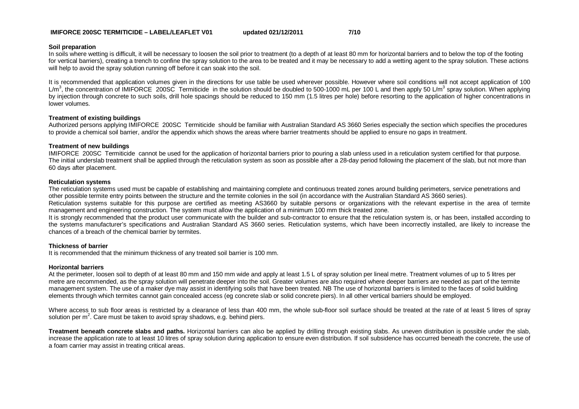#### **IMIFORCE 200SC TERMITICIDE – LABEL/LEAFLET V01 updated 021/12/2011 7/10**

#### **Soil preparation**

In soils where wetting is difficult, it will be necessary to loosen the soil prior to treatment (to a depth of at least 80 mm for horizontal barriers and to below the top of the footing for vertical barriers), creating a trench to confine the spray solution to the area to be treated and it may be necessary to add a wetting agent to the spray solution. These actions will help to avoid the spray solution running off before it can soak into the soil.

It is recommended that application volumes given in the directions for use table be used wherever possible. However where soil conditions will not accept application of 100 L/m<sup>3</sup>, the concentration of IMIFORCE 200SC Termiticide in the solution should be doubled to 500-1000 mL per 100 L and then apply 50 L/m<sup>3</sup> spray solution. When applying by injection through concrete to such soils, drill hole spacings should be reduced to 150 mm (1.5 litres per hole) before resorting to the application of higher concentrations in lower volumes.

#### **Treatment of existing buildings**

Authorized persons applying IMIFORCE 200SC Termiticide should be familiar with Australian Standard AS 3660 Series especially the section which specifies the procedures to provide a chemical soil barrier, and/or the appendix which shows the areas where barrier treatments should be applied to ensure no gaps in treatment.

#### **Treatment of new buildings**

IMIFORCE 200SC Termiticide cannot be used for the application of horizontal barriers prior to pouring a slab unless used in a reticulation system certified for that purpose. The initial underslab treatment shall be applied through the reticulation system as soon as possible after a 28-day period following the placement of the slab, but not more than 60 days after placement.

#### **Reticulation systems**

The reticulation systems used must be capable of establishing and maintaining complete and continuous treated zones around building perimeters, service penetrations and other possible termite entry points between the structure and the termite colonies in the soil (in accordance with the Australian Standard AS 3660 series).

Reticulation systems suitable for this purpose are certified as meeting AS3660 by suitable persons or organizations with the relevant expertise in the area of termite management and engineering construction. The system must allow the application of a minimum 100 mm thick treated zone.

It is strongly recommended that the product user communicate with the builder and sub-contractor to ensure that the reticulation system is, or has been, installed according to the systems manufacturer's specifications and Australian Standard AS 3660 series. Reticulation systems, which have been incorrectly installed, are likely to increase the chances of a breach of the chemical barrier by termites.

#### **Thickness of barrier**

It is recommended that the minimum thickness of any treated soil barrier is 100 mm.

#### **Horizontal barriers**

At the perimeter, loosen soil to depth of at least 80 mm and 150 mm wide and apply at least 1.5 L of spray solution per lineal metre. Treatment volumes of up to 5 litres per metre are recommended, as the spray solution will penetrate deeper into the soil. Greater volumes are also required where deeper barriers are needed as part of the termite management system. The use of a maker dye may assist in identifying soils that have been treated. NB The use of horizontal barriers is limited to the faces of solid building elements through which termites cannot gain concealed access (eg concrete slab or solid concrete piers). In all other vertical barriers should be employed.

Where access to sub floor areas is restricted by a clearance of less than 400 mm, the whole sub-floor soil surface should be treated at the rate of at least 5 litres of spray solution per  $m^2$ . Care must be taken to avoid spray shadows, e.g. behind piers.

**Treatment beneath concrete slabs and paths.** Horizontal barriers can also be applied by drilling through existing slabs. As uneven distribution is possible under the slab, increase the application rate to at least 10 litres of spray solution during application to ensure even distribution. If soil subsidence has occurred beneath the concrete, the use of a foam carrier may assist in treating critical areas.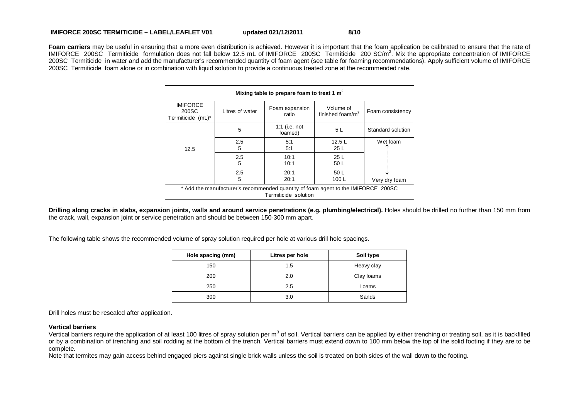#### **IMIFORCE 200SC TERMITICIDE – LABEL/LEAFLET V01 updated 021/12/2011 8/10**

Foam carriers may be useful in ensuring that a more even distribution is achieved. However it is important that the foam application be calibrated to ensure that the rate of IMIFORCE 200SC Termiticide formulation does not fall below 12.5 mL of IMIFORCE 200SC Termiticide 200 SC/m<sup>2</sup>. Mix the appropriate concentration of IMIFORCE 200SC Termiticide in water and add the manufacturer's recommended quantity of foam agent (see table for foaming recommendations). Apply sufficient volume of IMIFORCE 200SC Termiticide foam alone or in combination with liquid solution to provide a continuous treated zone at the recommended rate.

| Mixing table to prepare foam to treat 1 $m^2$                                                             |                 |                          |                                           |                   |
|-----------------------------------------------------------------------------------------------------------|-----------------|--------------------------|-------------------------------------------|-------------------|
| <b>IMIFORCE</b><br>200SC<br>Termiticide (mL)*                                                             | Litres of water | Foam expansion<br>ratio  | Volume of<br>finished foam/m <sup>2</sup> | Foam consistency  |
|                                                                                                           | 5               | 1:1 (i.e. not<br>foamed) | 5 L                                       | Standard solution |
| 12.5                                                                                                      | 2.5<br>5        | 5:1<br>5:1               | 12.5L<br>25 <sub>L</sub>                  | Wet foam          |
|                                                                                                           | 2.5<br>5        | 10:1<br>10:1             | 25L<br>50 L                               |                   |
|                                                                                                           | 2.5<br>5        | 20:1<br>20:1             | 50 L<br>100L                              | Very dry foam     |
| * Add the manufacturer's recommended quantity of foam agent to the IMIFORCE 200SC<br>Termiticide solution |                 |                          |                                           |                   |

**Drilling along cracks in slabs, expansion joints, walls and around service penetrations (e.g. plumbing/electrical). Holes should be drilled no further than 150 mm from** the crack, wall, expansion joint or service penetration and should be between 150-300 mm apart.

The following table shows the recommended volume of spray solution required per hole at various drill hole spacings.

| Hole spacing (mm) | Litres per hole | Soil type  |
|-------------------|-----------------|------------|
| 150               | 1.5             | Heavy clay |
| 200               | 2.0             | Clay loams |
| 250               | 2.5             | Loams      |
| 300               | 3.0             | Sands      |

Drill holes must be resealed after application.

#### **Vertical barriers**

Vertical barriers require the application of at least 100 litres of spray solution per m<sup>3</sup> of soil. Vertical barriers can be applied by either trenching or treating soil, as it is backfilled or by a combination of trenching and soil rodding at the bottom of the trench. Vertical barriers must extend down to 100 mm below the top of the solid footing if they are to be complete.

Note that termites may gain access behind engaged piers against single brick walls unless the soil is treated on both sides of the wall down to the footing.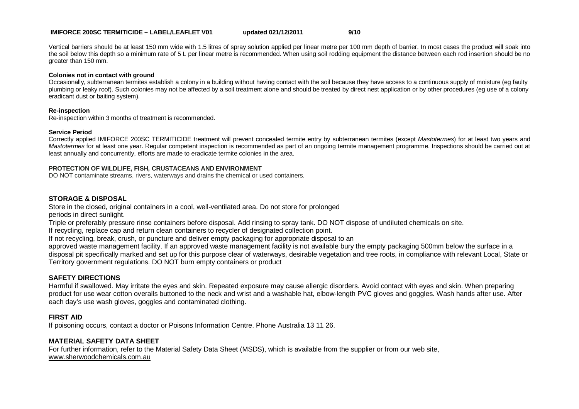#### **IMIFORCE 200SC TERMITICIDE – LABEL/LEAFLET V01 updated 021/12/2011 9/10**

Vertical barriers should be at least 150 mm wide with 1.5 litres of spray solution applied per linear metre per 100 mm depth of barrier. In most cases the product will soak into the soil below this depth so a minimum rate of 5 L per linear metre is recommended. When using soil rodding equipment the distance between each rod insertion should be no greater than 150 mm.

#### **Colonies not in contact with ground**

Occasionally, subterranean termites establish a colony in a building without having contact with the soil because they have access to a continuous supply of moisture (eg faulty plumbing or leaky roof). Such colonies may not be affected by a soil treatment alone and should be treated by direct nest application or by other procedures (eg use of a colony eradicant dust or baiting system).

#### **Re-inspection**

Re-inspection within 3 months of treatment is recommended.

#### **Service Period**

Correctly applied IMIFORCE 200SC TERMITICIDE treatment will prevent concealed termite entry by subterranean termites (except *Mastotermes*) for at least two years and *Mastotermes* for at least one year. Regular competent inspection is recommended as part of an ongoing termite management programme. Inspections should be carried out at least annually and concurrently, efforts are made to eradicate termite colonies in the area.

#### **PROTECTION OF WILDLIFE, FISH, CRUSTACEANS AND ENVIRONMENT**

DO NOT contaminate streams, rivers, waterways and drains the chemical or used containers.

#### **STORAGE & DISPOSAL**

Store in the closed, original containers in a cool, well-ventilated area. Do not store for prolonged

periods in direct sunlight.

Triple or preferably pressure rinse containers before disposal. Add rinsing to spray tank. DO NOT dispose of undiluted chemicals on site.

If recycling, replace cap and return clean containers to recycler of designated collection point.

If not recycling, break, crush, or puncture and deliver empty packaging for appropriate disposal to an

approved waste management facility. If an approved waste management facility is not available bury the empty packaging 500mm below the surface in a disposal pit specifically marked and set up for this purpose clear of waterways, desirable vegetation and tree roots, in compliance with relevant Local, State or Territory government regulations. DO NOT burn empty containers or product

#### **SAFETY DIRECTIONS**

Harmful if swallowed. May irritate the eyes and skin. Repeated exposure may cause allergic disorders. Avoid contact with eyes and skin. When preparing product for use wear cotton overalls buttoned to the neck and wrist and a washable hat, elbow-length PVC gloves and goggles. Wash hands after use. After each day's use wash gloves, goggles and contaminated clothing.

#### **FIRST AID**

If poisoning occurs, contact a doctor or Poisons Information Centre. Phone Australia 13 11 26.

#### **MATERIAL SAFETY DATA SHEET**

For further information, refer to the Material Safety Data Sheet (MSDS), which is available from the supplier or from our web site, www.sherwoodchemicals.com.au